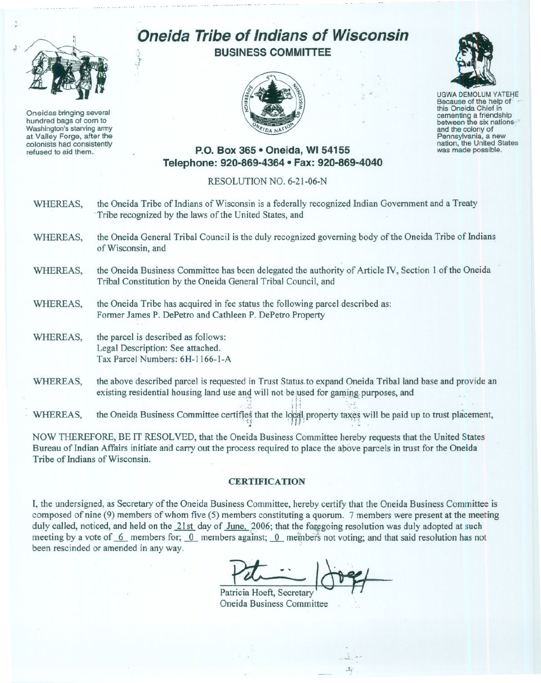

Oneidas bringing several hundred bags of corn to Washington's starving army at Valley Forge, after the colonists had consistently refused to aid them.

## **Oneida Tribe of Indians of Wisconsin BUSINESS COMMITTEE**





UGWA DEMOLUM YATEHE Because of the help of: .- this Oneida Chief in cementing <sup>a</sup> friendship between the six nations"'-- Pennsylvania, a new<br>nation, the United States was made possible.

## **P.O. Box 365· Oneida,** WI 54155 **Telephone: 920-869-4364 • Fax: 920-869-4040**

## RESOLUTION NO. 6-2l-06-N

- WHEREAS, the Oneida Tribe of Indians of Wisconsin is a federally recognized Indian Government and a Treaty Tribe recognized by the laws of the United States, and
- WHEREAS, the Oneida General Tribal Council is the duly recognized governing body of the Oneida Tribe of Indians of Wisconsin, and
- WHEREAS, the Oneida Business Committee has been delegated the authority of Article IV, Section 1 of the Oneida Tribal Constitution by the Oneida General Tribal Council, and
- WHEREAS, the Oneida Tribe has acquired in fee status the following parcel described as: Former James P. DePetro and Cathleen P. DePetro Property
- WHEREAS, the parcel is described as follows: Legal Description: See attached. Tax Parcel Numbers: 6H-1166-l-A

',.

WHEREAS, the above described parcel is requested in Trust Status to expand Oneida Tribal land base and provide an existing residential housing land use and will not be used for gaming purposes, and

existing residential housing land use  $\mathbb{R}$  . We define the form  $\mathbb{R}$  if  $\mathbb{R}$  is gating to  $\mathbb{R}$ WHEREAS, the Oneida Business Committee certifies that the local property taxes will be paid up to trust placement,

NOW THEREFORE, BE IT RESOLVED, that the Oneida Business Committee hereby requests that the United States Bureau of Indian Affairs initiate and carry out the process required to place the above parcels in trust for the Oneida Tribe of Indians of Wisconsin.

## **CERTIFICATION**

**I,** the undersigned, as Secretary of the Oneida Business Committee, hereby certify that the Oneida Business Committee is composed of nine (9) members of whom five (5) members constituting a quorum. 7 members were present at the meeting duly called, noticed, and held on the 21st day of June, 2006; that the foregoing resolution was duly adopted at such meeting by a vote of.... 6. members for; 0. members against; 0. members not voting; and that said resolution has not been rescinded or amended in any way.

 $Pdt$   $\rightarrow$   $P$ 

 $\mathcal{N}$ 

Oneida Business Committee